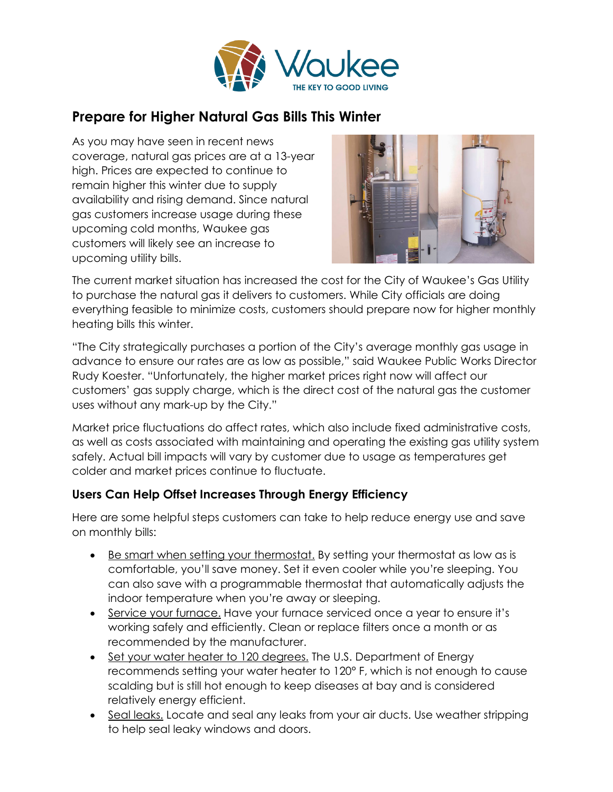

## **Prepare for Higher Natural Gas Bills This Winter**

As you may have seen in recent news coverage, natural gas prices are at a 13-year high. Prices are expected to continue to remain higher this winter due to supply availability and rising demand. Since natural gas customers increase usage during these upcoming cold months, Waukee gas customers will likely see an increase to upcoming utility bills.



The current market situation has increased the cost for the City of Waukee's Gas Utility to purchase the natural gas it delivers to customers. While City officials are doing everything feasible to minimize costs, customers should prepare now for higher monthly heating bills this winter.

"The City strategically purchases a portion of the City's average monthly gas usage in advance to ensure our rates are as low as possible," said Waukee Public Works Director Rudy Koester. "Unfortunately, the higher market prices right now will affect our customers' gas supply charge, which is the direct cost of the natural gas the customer uses without any mark-up by the City."

Market price fluctuations do affect rates, which also include fixed administrative costs, as well as costs associated with maintaining and operating the existing gas utility system safely. Actual bill impacts will vary by customer due to usage as temperatures get colder and market prices continue to fluctuate.

## **Users Can Help Offset Increases Through Energy Efficiency**

Here are some helpful steps customers can take to help reduce energy use and save on monthly bills:

- Be smart when setting your thermostat. By setting your thermostat as low as is comfortable, you'll save money. Set it even cooler while you're sleeping. You can also save with a programmable thermostat that automatically adjusts the indoor temperature when you're away or sleeping.
- Service your furnace. Have your furnace serviced once a year to ensure it's working safely and efficiently. Clean or replace filters once a month or as recommended by the manufacturer.
- Set your water heater to 120 degrees. The U.S. Department of Energy recommends setting your water heater to 120° F, which is not enough to cause scalding but is still hot enough to keep diseases at bay and is considered relatively energy efficient.
- Seal leaks. Locate and seal any leaks from your air ducts. Use weather stripping to help seal leaky windows and doors.